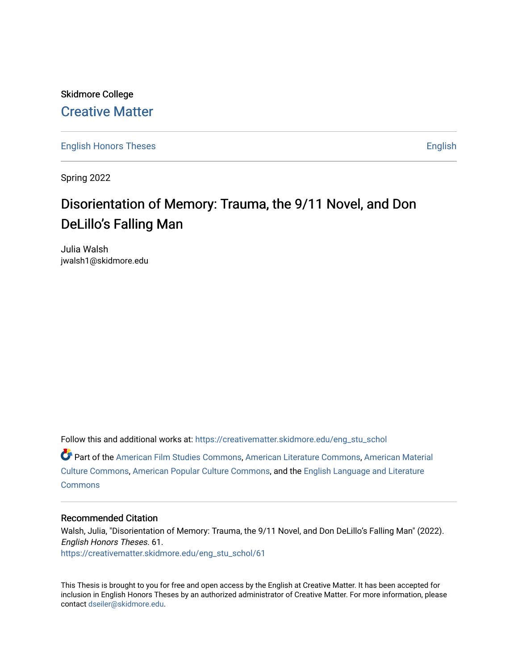Skidmore College [Creative Matter](https://creativematter.skidmore.edu/) 

[English Honors Theses](https://creativematter.skidmore.edu/eng_stu_schol) **English** English

Spring 2022

# Disorientation of Memory: Trauma, the 9/11 Novel, and Don DeLillo's Falling Man

Julia Walsh jwalsh1@skidmore.edu

Follow this and additional works at: [https://creativematter.skidmore.edu/eng\\_stu\\_schol](https://creativematter.skidmore.edu/eng_stu_schol?utm_source=creativematter.skidmore.edu%2Feng_stu_schol%2F61&utm_medium=PDF&utm_campaign=PDFCoverPages) 

Part of the [American Film Studies Commons,](https://network.bepress.com/hgg/discipline/440?utm_source=creativematter.skidmore.edu%2Feng_stu_schol%2F61&utm_medium=PDF&utm_campaign=PDFCoverPages) [American Literature Commons](https://network.bepress.com/hgg/discipline/441?utm_source=creativematter.skidmore.edu%2Feng_stu_schol%2F61&utm_medium=PDF&utm_campaign=PDFCoverPages), [American Material](https://network.bepress.com/hgg/discipline/442?utm_source=creativematter.skidmore.edu%2Feng_stu_schol%2F61&utm_medium=PDF&utm_campaign=PDFCoverPages) [Culture Commons](https://network.bepress.com/hgg/discipline/442?utm_source=creativematter.skidmore.edu%2Feng_stu_schol%2F61&utm_medium=PDF&utm_campaign=PDFCoverPages), [American Popular Culture Commons](https://network.bepress.com/hgg/discipline/443?utm_source=creativematter.skidmore.edu%2Feng_stu_schol%2F61&utm_medium=PDF&utm_campaign=PDFCoverPages), and the [English Language and Literature](https://network.bepress.com/hgg/discipline/455?utm_source=creativematter.skidmore.edu%2Feng_stu_schol%2F61&utm_medium=PDF&utm_campaign=PDFCoverPages)  **[Commons](https://network.bepress.com/hgg/discipline/455?utm_source=creativematter.skidmore.edu%2Feng_stu_schol%2F61&utm_medium=PDF&utm_campaign=PDFCoverPages)** 

## Recommended Citation

Walsh, Julia, "Disorientation of Memory: Trauma, the 9/11 Novel, and Don DeLillo's Falling Man" (2022). English Honors Theses. 61. [https://creativematter.skidmore.edu/eng\\_stu\\_schol/61](https://creativematter.skidmore.edu/eng_stu_schol/61?utm_source=creativematter.skidmore.edu%2Feng_stu_schol%2F61&utm_medium=PDF&utm_campaign=PDFCoverPages)

This Thesis is brought to you for free and open access by the English at Creative Matter. It has been accepted for inclusion in English Honors Theses by an authorized administrator of Creative Matter. For more information, please contact [dseiler@skidmore.edu.](mailto:dseiler@skidmore.edu)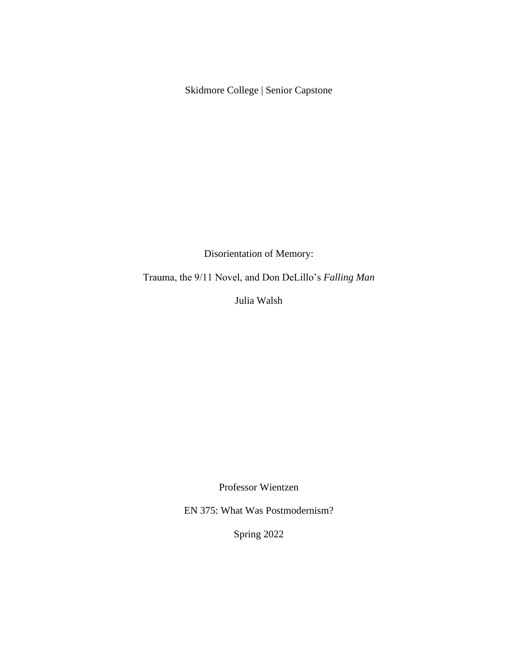Skidmore College | Senior Capstone

Disorientation of Memory:

Trauma, the 9/11 Novel, and Don DeLillo's *Falling Man*

Julia Walsh

Professor Wientzen

EN 375: What Was Postmodernism?

Spring 2022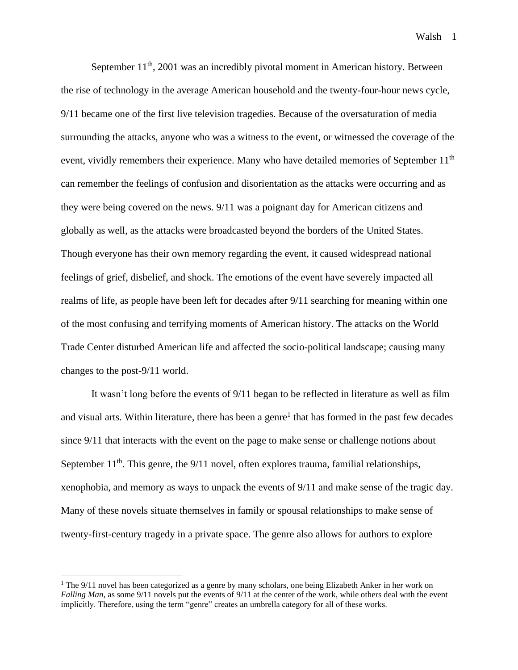September  $11<sup>th</sup>$ , 2001 was an incredibly pivotal moment in American history. Between the rise of technology in the average American household and the twenty-four-hour news cycle, 9/11 became one of the first live television tragedies. Because of the oversaturation of media surrounding the attacks, anyone who was a witness to the event, or witnessed the coverage of the event, vividly remembers their experience. Many who have detailed memories of September 11<sup>th</sup> can remember the feelings of confusion and disorientation as the attacks were occurring and as they were being covered on the news. 9/11 was a poignant day for American citizens and globally as well, as the attacks were broadcasted beyond the borders of the United States. Though everyone has their own memory regarding the event, it caused widespread national feelings of grief, disbelief, and shock. The emotions of the event have severely impacted all realms of life, as people have been left for decades after 9/11 searching for meaning within one of the most confusing and terrifying moments of American history. The attacks on the World Trade Center disturbed American life and affected the socio-political landscape; causing many changes to the post-9/11 world.

It wasn't long before the events of 9/11 began to be reflected in literature as well as film and visual arts. Within literature, there has been a genre<sup>1</sup> that has formed in the past few decades since 9/11 that interacts with the event on the page to make sense or challenge notions about September  $11<sup>th</sup>$ . This genre, the 9/11 novel, often explores trauma, familial relationships, xenophobia, and memory as ways to unpack the events of 9/11 and make sense of the tragic day. Many of these novels situate themselves in family or spousal relationships to make sense of twenty-first-century tragedy in a private space. The genre also allows for authors to explore

<sup>&</sup>lt;sup>1</sup> The 9/11 novel has been categorized as a genre by many scholars, one being Elizabeth Anker in her work on *Falling Man*, as some 9/11 novels put the events of 9/11 at the center of the work, while others deal with the event implicitly. Therefore, using the term "genre" creates an umbrella category for all of these works.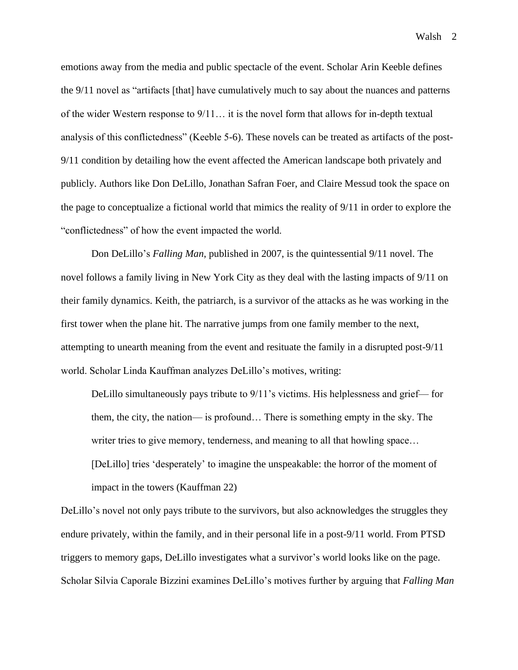emotions away from the media and public spectacle of the event. Scholar Arin Keeble defines the 9/11 novel as "artifacts [that] have cumulatively much to say about the nuances and patterns of the wider Western response to 9/11… it is the novel form that allows for in-depth textual analysis of this conflictedness" (Keeble 5-6). These novels can be treated as artifacts of the post-9/11 condition by detailing how the event affected the American landscape both privately and publicly. Authors like Don DeLillo, Jonathan Safran Foer, and Claire Messud took the space on the page to conceptualize a fictional world that mimics the reality of 9/11 in order to explore the "conflictedness" of how the event impacted the world.

Don DeLillo's *Falling Man*, published in 2007, is the quintessential 9/11 novel. The novel follows a family living in New York City as they deal with the lasting impacts of 9/11 on their family dynamics. Keith, the patriarch, is a survivor of the attacks as he was working in the first tower when the plane hit. The narrative jumps from one family member to the next, attempting to unearth meaning from the event and resituate the family in a disrupted post-9/11 world. Scholar Linda Kauffman analyzes DeLillo's motives, writing:

DeLillo simultaneously pays tribute to 9/11's victims. His helplessness and grief— for them, the city, the nation— is profound… There is something empty in the sky. The writer tries to give memory, tenderness, and meaning to all that howling space... [DeLillo] tries 'desperately' to imagine the unspeakable: the horror of the moment of impact in the towers (Kauffman 22)

DeLillo's novel not only pays tribute to the survivors, but also acknowledges the struggles they endure privately, within the family, and in their personal life in a post-9/11 world. From PTSD triggers to memory gaps, DeLillo investigates what a survivor's world looks like on the page. Scholar Silvia Caporale Bizzini examines DeLillo's motives further by arguing that *Falling Man*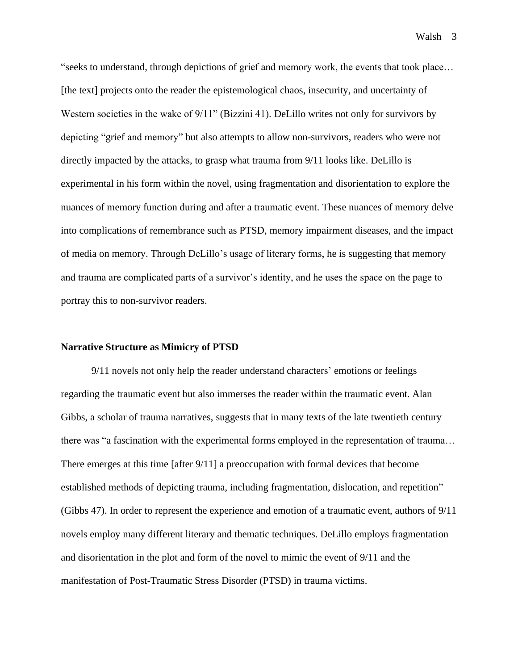"seeks to understand, through depictions of grief and memory work, the events that took place… [the text] projects onto the reader the epistemological chaos, insecurity, and uncertainty of Western societies in the wake of 9/11" (Bizzini 41). DeLillo writes not only for survivors by depicting "grief and memory" but also attempts to allow non-survivors, readers who were not directly impacted by the attacks, to grasp what trauma from 9/11 looks like. DeLillo is experimental in his form within the novel, using fragmentation and disorientation to explore the nuances of memory function during and after a traumatic event. These nuances of memory delve into complications of remembrance such as PTSD, memory impairment diseases, and the impact of media on memory. Through DeLillo's usage of literary forms, he is suggesting that memory and trauma are complicated parts of a survivor's identity, and he uses the space on the page to portray this to non-survivor readers.

## **Narrative Structure as Mimicry of PTSD**

9/11 novels not only help the reader understand characters' emotions or feelings regarding the traumatic event but also immerses the reader within the traumatic event. Alan Gibbs, a scholar of trauma narratives, suggests that in many texts of the late twentieth century there was "a fascination with the experimental forms employed in the representation of trauma… There emerges at this time [after 9/11] a preoccupation with formal devices that become established methods of depicting trauma, including fragmentation, dislocation, and repetition" (Gibbs 47). In order to represent the experience and emotion of a traumatic event, authors of 9/11 novels employ many different literary and thematic techniques. DeLillo employs fragmentation and disorientation in the plot and form of the novel to mimic the event of 9/11 and the manifestation of Post-Traumatic Stress Disorder (PTSD) in trauma victims.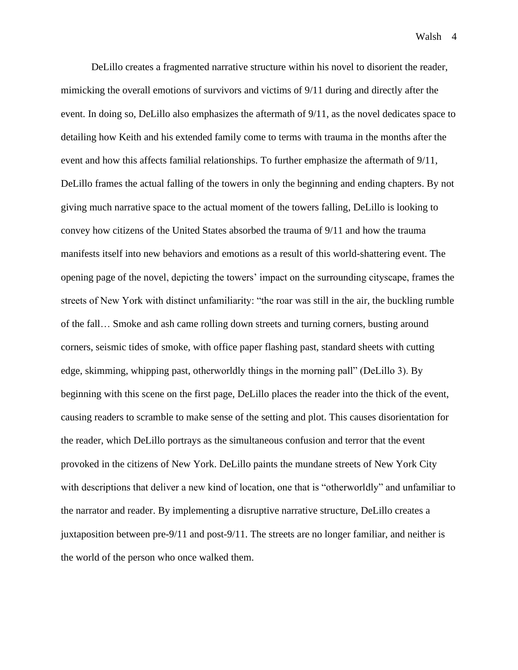DeLillo creates a fragmented narrative structure within his novel to disorient the reader, mimicking the overall emotions of survivors and victims of 9/11 during and directly after the event. In doing so, DeLillo also emphasizes the aftermath of 9/11, as the novel dedicates space to detailing how Keith and his extended family come to terms with trauma in the months after the event and how this affects familial relationships. To further emphasize the aftermath of 9/11, DeLillo frames the actual falling of the towers in only the beginning and ending chapters. By not giving much narrative space to the actual moment of the towers falling, DeLillo is looking to convey how citizens of the United States absorbed the trauma of 9/11 and how the trauma manifests itself into new behaviors and emotions as a result of this world-shattering event. The opening page of the novel, depicting the towers' impact on the surrounding cityscape, frames the streets of New York with distinct unfamiliarity: "the roar was still in the air, the buckling rumble of the fall… Smoke and ash came rolling down streets and turning corners, busting around corners, seismic tides of smoke, with office paper flashing past, standard sheets with cutting edge, skimming, whipping past, otherworldly things in the morning pall" (DeLillo 3). By beginning with this scene on the first page, DeLillo places the reader into the thick of the event, causing readers to scramble to make sense of the setting and plot. This causes disorientation for the reader, which DeLillo portrays as the simultaneous confusion and terror that the event provoked in the citizens of New York. DeLillo paints the mundane streets of New York City with descriptions that deliver a new kind of location, one that is "otherworldly" and unfamiliar to the narrator and reader. By implementing a disruptive narrative structure, DeLillo creates a juxtaposition between pre-9/11 and post-9/11. The streets are no longer familiar, and neither is the world of the person who once walked them.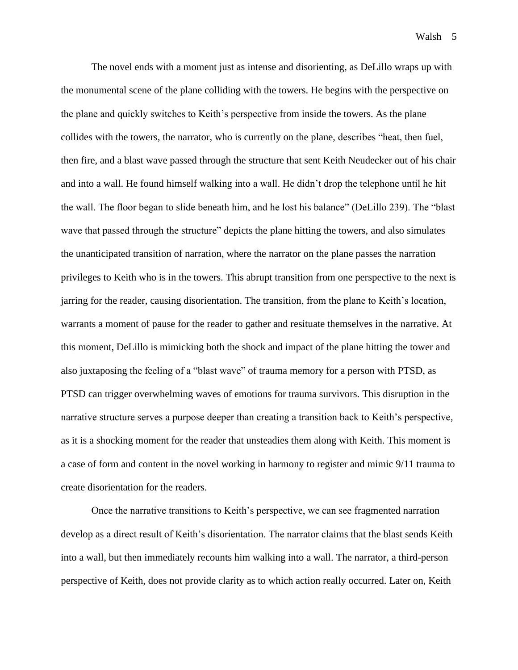The novel ends with a moment just as intense and disorienting, as DeLillo wraps up with the monumental scene of the plane colliding with the towers. He begins with the perspective on the plane and quickly switches to Keith's perspective from inside the towers. As the plane collides with the towers, the narrator, who is currently on the plane, describes "heat, then fuel, then fire, and a blast wave passed through the structure that sent Keith Neudecker out of his chair and into a wall. He found himself walking into a wall. He didn't drop the telephone until he hit the wall. The floor began to slide beneath him, and he lost his balance" (DeLillo 239). The "blast wave that passed through the structure" depicts the plane hitting the towers, and also simulates the unanticipated transition of narration, where the narrator on the plane passes the narration privileges to Keith who is in the towers. This abrupt transition from one perspective to the next is jarring for the reader, causing disorientation. The transition, from the plane to Keith's location, warrants a moment of pause for the reader to gather and resituate themselves in the narrative. At this moment, DeLillo is mimicking both the shock and impact of the plane hitting the tower and also juxtaposing the feeling of a "blast wave" of trauma memory for a person with PTSD, as PTSD can trigger overwhelming waves of emotions for trauma survivors. This disruption in the narrative structure serves a purpose deeper than creating a transition back to Keith's perspective, as it is a shocking moment for the reader that unsteadies them along with Keith. This moment is a case of form and content in the novel working in harmony to register and mimic 9/11 trauma to create disorientation for the readers.

Once the narrative transitions to Keith's perspective, we can see fragmented narration develop as a direct result of Keith's disorientation. The narrator claims that the blast sends Keith into a wall, but then immediately recounts him walking into a wall. The narrator, a third-person perspective of Keith, does not provide clarity as to which action really occurred. Later on, Keith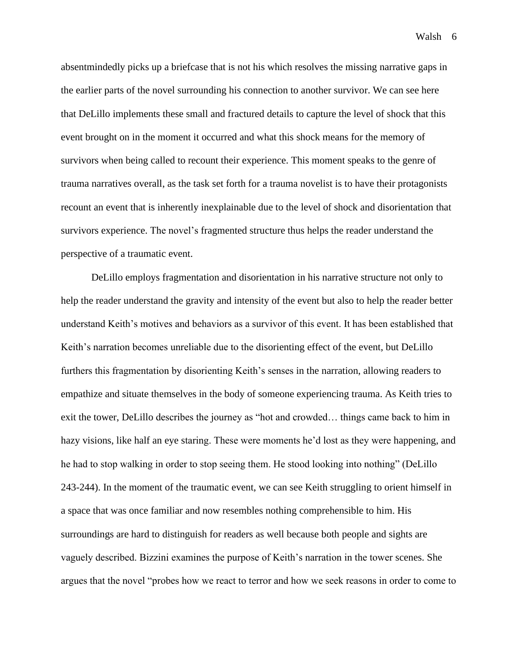absentmindedly picks up a briefcase that is not his which resolves the missing narrative gaps in the earlier parts of the novel surrounding his connection to another survivor. We can see here that DeLillo implements these small and fractured details to capture the level of shock that this event brought on in the moment it occurred and what this shock means for the memory of survivors when being called to recount their experience. This moment speaks to the genre of trauma narratives overall, as the task set forth for a trauma novelist is to have their protagonists recount an event that is inherently inexplainable due to the level of shock and disorientation that survivors experience. The novel's fragmented structure thus helps the reader understand the perspective of a traumatic event.

DeLillo employs fragmentation and disorientation in his narrative structure not only to help the reader understand the gravity and intensity of the event but also to help the reader better understand Keith's motives and behaviors as a survivor of this event. It has been established that Keith's narration becomes unreliable due to the disorienting effect of the event, but DeLillo furthers this fragmentation by disorienting Keith's senses in the narration, allowing readers to empathize and situate themselves in the body of someone experiencing trauma. As Keith tries to exit the tower, DeLillo describes the journey as "hot and crowded… things came back to him in hazy visions, like half an eye staring. These were moments he'd lost as they were happening, and he had to stop walking in order to stop seeing them. He stood looking into nothing" (DeLillo 243-244). In the moment of the traumatic event, we can see Keith struggling to orient himself in a space that was once familiar and now resembles nothing comprehensible to him. His surroundings are hard to distinguish for readers as well because both people and sights are vaguely described. Bizzini examines the purpose of Keith's narration in the tower scenes. She argues that the novel "probes how we react to terror and how we seek reasons in order to come to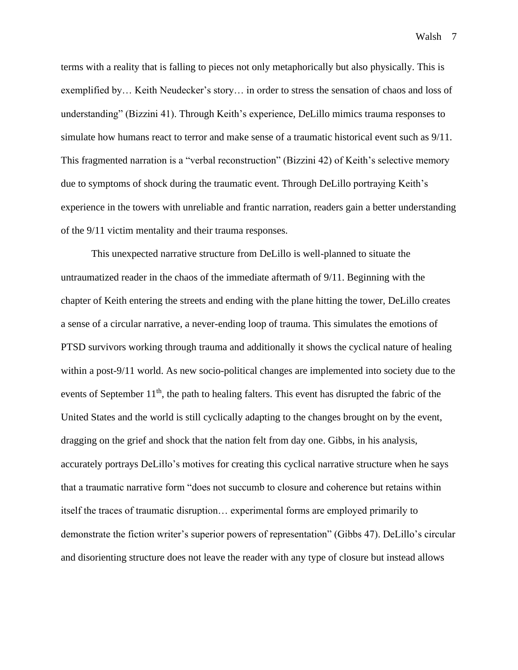terms with a reality that is falling to pieces not only metaphorically but also physically. This is exemplified by… Keith Neudecker's story… in order to stress the sensation of chaos and loss of understanding" (Bizzini 41). Through Keith's experience, DeLillo mimics trauma responses to simulate how humans react to terror and make sense of a traumatic historical event such as 9/11. This fragmented narration is a "verbal reconstruction" (Bizzini 42) of Keith's selective memory due to symptoms of shock during the traumatic event. Through DeLillo portraying Keith's experience in the towers with unreliable and frantic narration, readers gain a better understanding of the 9/11 victim mentality and their trauma responses.

This unexpected narrative structure from DeLillo is well-planned to situate the untraumatized reader in the chaos of the immediate aftermath of 9/11. Beginning with the chapter of Keith entering the streets and ending with the plane hitting the tower, DeLillo creates a sense of a circular narrative, a never-ending loop of trauma. This simulates the emotions of PTSD survivors working through trauma and additionally it shows the cyclical nature of healing within a post-9/11 world. As new socio-political changes are implemented into society due to the events of September 11<sup>th</sup>, the path to healing falters. This event has disrupted the fabric of the United States and the world is still cyclically adapting to the changes brought on by the event, dragging on the grief and shock that the nation felt from day one. Gibbs, in his analysis, accurately portrays DeLillo's motives for creating this cyclical narrative structure when he says that a traumatic narrative form "does not succumb to closure and coherence but retains within itself the traces of traumatic disruption… experimental forms are employed primarily to demonstrate the fiction writer's superior powers of representation" (Gibbs 47). DeLillo's circular and disorienting structure does not leave the reader with any type of closure but instead allows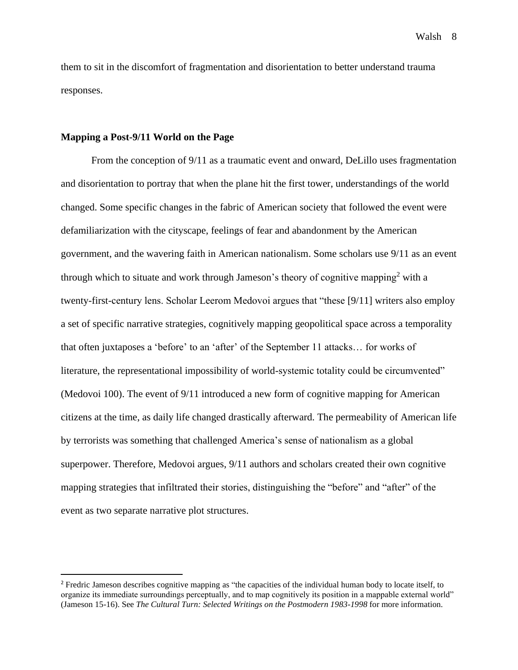them to sit in the discomfort of fragmentation and disorientation to better understand trauma responses.

## **Mapping a Post-9/11 World on the Page**

From the conception of 9/11 as a traumatic event and onward, DeLillo uses fragmentation and disorientation to portray that when the plane hit the first tower, understandings of the world changed. Some specific changes in the fabric of American society that followed the event were defamiliarization with the cityscape, feelings of fear and abandonment by the American government, and the wavering faith in American nationalism. Some scholars use 9/11 as an event through which to situate and work through Jameson's theory of cognitive mapping<sup>2</sup> with a twenty-first-century lens. Scholar Leerom Medovoi argues that "these [9/11] writers also employ a set of specific narrative strategies, cognitively mapping geopolitical space across a temporality that often juxtaposes a 'before' to an 'after' of the September 11 attacks… for works of literature, the representational impossibility of world-systemic totality could be circumvented" (Medovoi 100). The event of 9/11 introduced a new form of cognitive mapping for American citizens at the time, as daily life changed drastically afterward. The permeability of American life by terrorists was something that challenged America's sense of nationalism as a global superpower. Therefore, Medovoi argues, 9/11 authors and scholars created their own cognitive mapping strategies that infiltrated their stories, distinguishing the "before" and "after" of the event as two separate narrative plot structures.

Walsh 8

<sup>&</sup>lt;sup>2</sup> Fredric Jameson describes cognitive mapping as "the capacities of the individual human body to locate itself, to organize its immediate surroundings perceptually, and to map cognitively its position in a mappable external world" (Jameson 15-16). See *The Cultural Turn: Selected Writings on the Postmodern 1983-1998* for more information.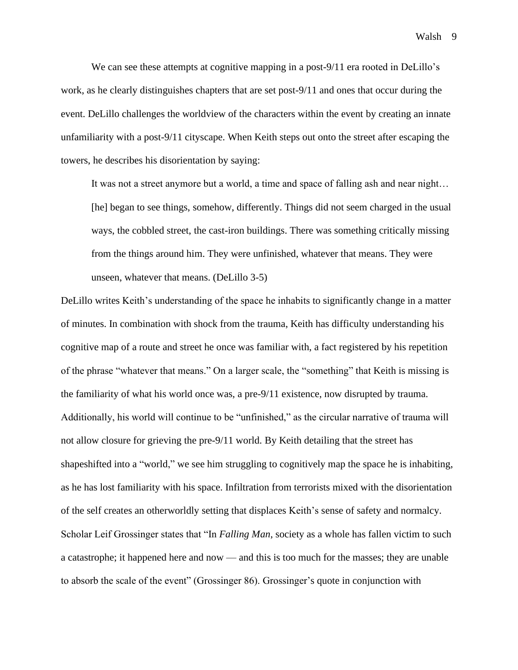We can see these attempts at cognitive mapping in a post-9/11 era rooted in DeLillo's work, as he clearly distinguishes chapters that are set post-9/11 and ones that occur during the event. DeLillo challenges the worldview of the characters within the event by creating an innate unfamiliarity with a post-9/11 cityscape. When Keith steps out onto the street after escaping the towers, he describes his disorientation by saying:

It was not a street anymore but a world, a time and space of falling ash and near night… [he] began to see things, somehow, differently. Things did not seem charged in the usual ways, the cobbled street, the cast-iron buildings. There was something critically missing from the things around him. They were unfinished, whatever that means. They were unseen, whatever that means. (DeLillo 3-5)

DeLillo writes Keith's understanding of the space he inhabits to significantly change in a matter of minutes. In combination with shock from the trauma, Keith has difficulty understanding his cognitive map of a route and street he once was familiar with, a fact registered by his repetition of the phrase "whatever that means." On a larger scale, the "something" that Keith is missing is the familiarity of what his world once was, a pre-9/11 existence, now disrupted by trauma. Additionally, his world will continue to be "unfinished," as the circular narrative of trauma will not allow closure for grieving the pre-9/11 world. By Keith detailing that the street has shapeshifted into a "world," we see him struggling to cognitively map the space he is inhabiting, as he has lost familiarity with his space. Infiltration from terrorists mixed with the disorientation of the self creates an otherworldly setting that displaces Keith's sense of safety and normalcy. Scholar Leif Grossinger states that "In *Falling Man*, society as a whole has fallen victim to such a catastrophe; it happened here and now — and this is too much for the masses; they are unable to absorb the scale of the event" (Grossinger 86). Grossinger's quote in conjunction with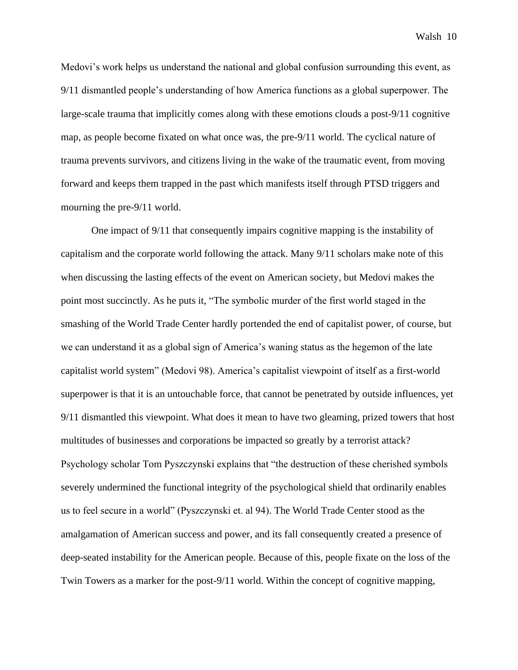Medovi's work helps us understand the national and global confusion surrounding this event, as 9/11 dismantled people's understanding of how America functions as a global superpower. The large-scale trauma that implicitly comes along with these emotions clouds a post-9/11 cognitive map, as people become fixated on what once was, the pre-9/11 world. The cyclical nature of trauma prevents survivors, and citizens living in the wake of the traumatic event, from moving forward and keeps them trapped in the past which manifests itself through PTSD triggers and mourning the pre-9/11 world.

One impact of 9/11 that consequently impairs cognitive mapping is the instability of capitalism and the corporate world following the attack. Many 9/11 scholars make note of this when discussing the lasting effects of the event on American society, but Medovi makes the point most succinctly. As he puts it, "The symbolic murder of the first world staged in the smashing of the World Trade Center hardly portended the end of capitalist power, of course, but we can understand it as a global sign of America's waning status as the hegemon of the late capitalist world system" (Medovi 98). America's capitalist viewpoint of itself as a first-world superpower is that it is an untouchable force, that cannot be penetrated by outside influences, yet 9/11 dismantled this viewpoint. What does it mean to have two gleaming, prized towers that host multitudes of businesses and corporations be impacted so greatly by a terrorist attack? Psychology scholar Tom Pyszczynski explains that "the destruction of these cherished symbols severely undermined the functional integrity of the psychological shield that ordinarily enables us to feel secure in a world" (Pyszczynski et. al 94). The World Trade Center stood as the amalgamation of American success and power, and its fall consequently created a presence of deep-seated instability for the American people. Because of this, people fixate on the loss of the Twin Towers as a marker for the post-9/11 world. Within the concept of cognitive mapping,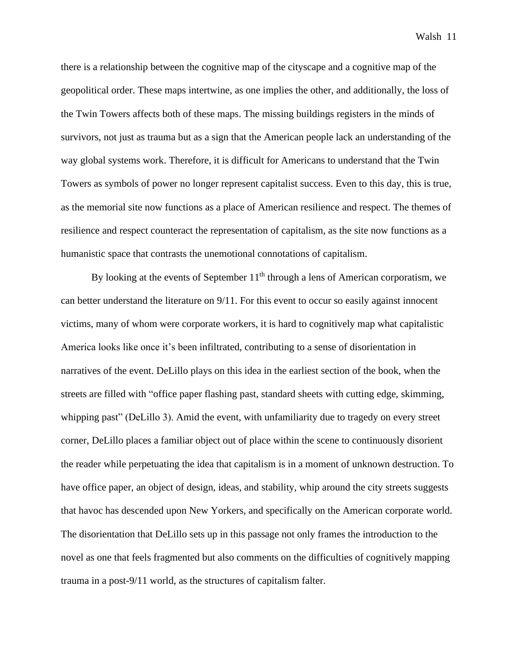there is a relationship between the cognitive map of the cityscape and a cognitive map of the geopolitical order. These maps intertwine, as one implies the other, and additionally, the loss of the Twin Towers affects both of these maps. The missing buildings registers in the minds of survivors, not just as trauma but as a sign that the American people lack an understanding of the way global systems work. Therefore, it is difficult for Americans to understand that the Twin Towers as symbols of power no longer represent capitalist success. Even to this day, this is true, as the memorial site now functions as a place of American resilience and respect. The themes of resilience and respect counteract the representation of capitalism, as the site now functions as a humanistic space that contrasts the unemotional connotations of capitalism.

By looking at the events of September  $11<sup>th</sup>$  through a lens of American corporatism, we can better understand the literature on 9/11. For this event to occur so easily against innocent victims, many of whom were corporate workers, it is hard to cognitively map what capitalistic America looks like once it's been infiltrated, contributing to a sense of disorientation in narratives of the event. DeLillo plays on this idea in the earliest section of the book, when the streets are filled with "office paper flashing past, standard sheets with cutting edge, skimming, whipping past" (DeLillo 3). Amid the event, with unfamiliarity due to tragedy on every street corner, DeLillo places a familiar object out of place within the scene to continuously disorient the reader while perpetuating the idea that capitalism is in a moment of unknown destruction. To have office paper, an object of design, ideas, and stability, whip around the city streets suggests that havoc has descended upon New Yorkers, and specifically on the American corporate world. The disorientation that DeLillo sets up in this passage not only frames the introduction to the novel as one that feels fragmented but also comments on the difficulties of cognitively mapping trauma in a post-9/11 world, as the structures of capitalism falter.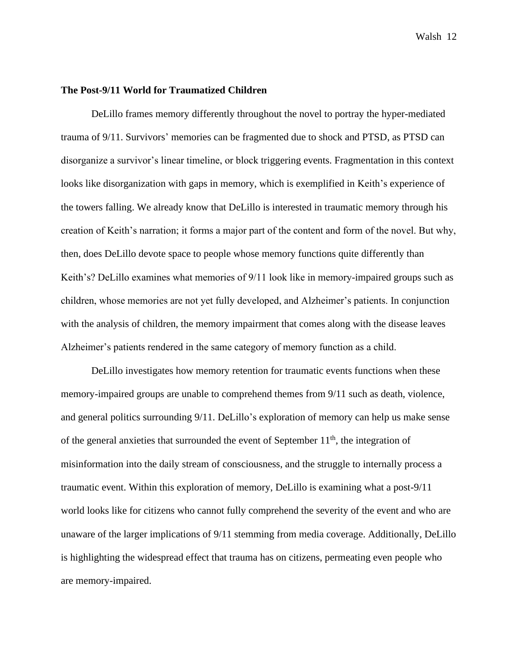## **The Post-9/11 World for Traumatized Children**

DeLillo frames memory differently throughout the novel to portray the hyper-mediated trauma of 9/11. Survivors' memories can be fragmented due to shock and PTSD, as PTSD can disorganize a survivor's linear timeline, or block triggering events. Fragmentation in this context looks like disorganization with gaps in memory, which is exemplified in Keith's experience of the towers falling. We already know that DeLillo is interested in traumatic memory through his creation of Keith's narration; it forms a major part of the content and form of the novel. But why, then, does DeLillo devote space to people whose memory functions quite differently than Keith's? DeLillo examines what memories of 9/11 look like in memory-impaired groups such as children, whose memories are not yet fully developed, and Alzheimer's patients. In conjunction with the analysis of children, the memory impairment that comes along with the disease leaves Alzheimer's patients rendered in the same category of memory function as a child.

DeLillo investigates how memory retention for traumatic events functions when these memory-impaired groups are unable to comprehend themes from 9/11 such as death, violence, and general politics surrounding 9/11. DeLillo's exploration of memory can help us make sense of the general anxieties that surrounded the event of September  $11<sup>th</sup>$ , the integration of misinformation into the daily stream of consciousness, and the struggle to internally process a traumatic event. Within this exploration of memory, DeLillo is examining what a post-9/11 world looks like for citizens who cannot fully comprehend the severity of the event and who are unaware of the larger implications of 9/11 stemming from media coverage. Additionally, DeLillo is highlighting the widespread effect that trauma has on citizens, permeating even people who are memory-impaired.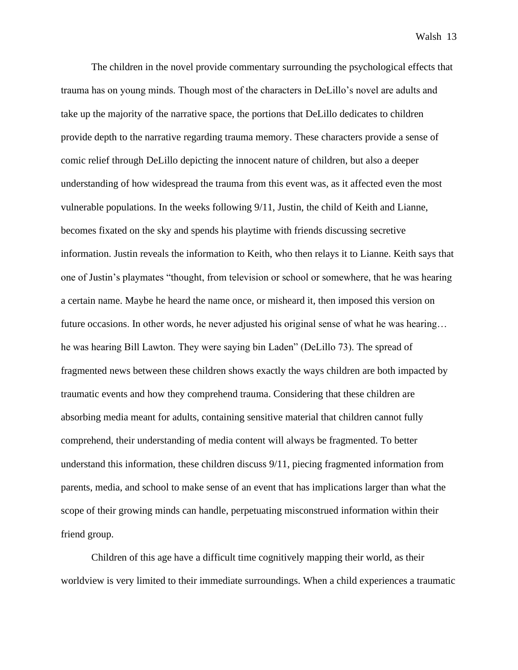The children in the novel provide commentary surrounding the psychological effects that trauma has on young minds. Though most of the characters in DeLillo's novel are adults and take up the majority of the narrative space, the portions that DeLillo dedicates to children provide depth to the narrative regarding trauma memory. These characters provide a sense of comic relief through DeLillo depicting the innocent nature of children, but also a deeper understanding of how widespread the trauma from this event was, as it affected even the most vulnerable populations. In the weeks following 9/11, Justin, the child of Keith and Lianne, becomes fixated on the sky and spends his playtime with friends discussing secretive information. Justin reveals the information to Keith, who then relays it to Lianne. Keith says that one of Justin's playmates "thought, from television or school or somewhere, that he was hearing a certain name. Maybe he heard the name once, or misheard it, then imposed this version on future occasions. In other words, he never adjusted his original sense of what he was hearing... he was hearing Bill Lawton. They were saying bin Laden" (DeLillo 73). The spread of fragmented news between these children shows exactly the ways children are both impacted by traumatic events and how they comprehend trauma. Considering that these children are absorbing media meant for adults, containing sensitive material that children cannot fully comprehend, their understanding of media content will always be fragmented. To better understand this information, these children discuss 9/11, piecing fragmented information from parents, media, and school to make sense of an event that has implications larger than what the scope of their growing minds can handle, perpetuating misconstrued information within their friend group.

Children of this age have a difficult time cognitively mapping their world, as their worldview is very limited to their immediate surroundings. When a child experiences a traumatic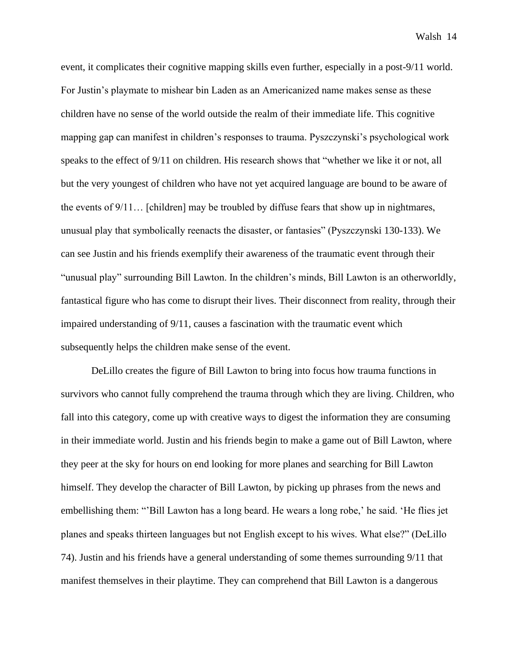event, it complicates their cognitive mapping skills even further, especially in a post-9/11 world. For Justin's playmate to mishear bin Laden as an Americanized name makes sense as these children have no sense of the world outside the realm of their immediate life. This cognitive mapping gap can manifest in children's responses to trauma. Pyszczynski's psychological work speaks to the effect of 9/11 on children. His research shows that "whether we like it or not, all but the very youngest of children who have not yet acquired language are bound to be aware of the events of  $9/11$ ... [children] may be troubled by diffuse fears that show up in nightmares, unusual play that symbolically reenacts the disaster, or fantasies" (Pyszczynski 130-133). We can see Justin and his friends exemplify their awareness of the traumatic event through their "unusual play" surrounding Bill Lawton. In the children's minds, Bill Lawton is an otherworldly, fantastical figure who has come to disrupt their lives. Their disconnect from reality, through their impaired understanding of 9/11, causes a fascination with the traumatic event which subsequently helps the children make sense of the event.

DeLillo creates the figure of Bill Lawton to bring into focus how trauma functions in survivors who cannot fully comprehend the trauma through which they are living. Children, who fall into this category, come up with creative ways to digest the information they are consuming in their immediate world. Justin and his friends begin to make a game out of Bill Lawton, where they peer at the sky for hours on end looking for more planes and searching for Bill Lawton himself. They develop the character of Bill Lawton, by picking up phrases from the news and embellishing them: "'Bill Lawton has a long beard. He wears a long robe,' he said. 'He flies jet planes and speaks thirteen languages but not English except to his wives. What else?" (DeLillo 74). Justin and his friends have a general understanding of some themes surrounding 9/11 that manifest themselves in their playtime. They can comprehend that Bill Lawton is a dangerous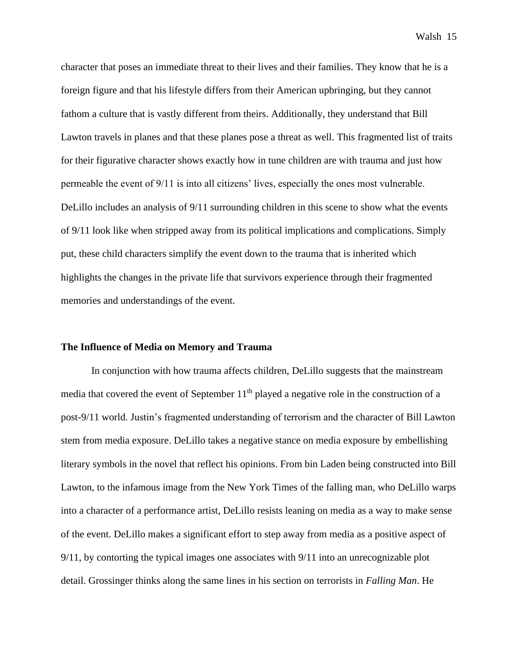character that poses an immediate threat to their lives and their families. They know that he is a foreign figure and that his lifestyle differs from their American upbringing, but they cannot fathom a culture that is vastly different from theirs. Additionally, they understand that Bill Lawton travels in planes and that these planes pose a threat as well. This fragmented list of traits for their figurative character shows exactly how in tune children are with trauma and just how permeable the event of 9/11 is into all citizens' lives, especially the ones most vulnerable. DeLillo includes an analysis of 9/11 surrounding children in this scene to show what the events of 9/11 look like when stripped away from its political implications and complications. Simply put, these child characters simplify the event down to the trauma that is inherited which highlights the changes in the private life that survivors experience through their fragmented memories and understandings of the event.

## **The Influence of Media on Memory and Trauma**

In conjunction with how trauma affects children, DeLillo suggests that the mainstream media that covered the event of September  $11<sup>th</sup>$  played a negative role in the construction of a post-9/11 world. Justin's fragmented understanding of terrorism and the character of Bill Lawton stem from media exposure. DeLillo takes a negative stance on media exposure by embellishing literary symbols in the novel that reflect his opinions. From bin Laden being constructed into Bill Lawton, to the infamous image from the New York Times of the falling man, who DeLillo warps into a character of a performance artist, DeLillo resists leaning on media as a way to make sense of the event. DeLillo makes a significant effort to step away from media as a positive aspect of 9/11, by contorting the typical images one associates with 9/11 into an unrecognizable plot detail. Grossinger thinks along the same lines in his section on terrorists in *Falling Man*. He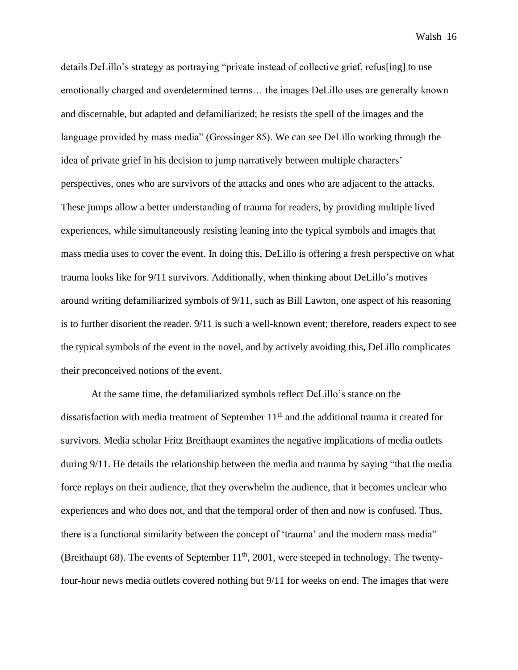details DeLillo's strategy as portraying "private instead of collective grief, refus[ing] to use emotionally charged and overdetermined terms… the images DeLillo uses are generally known and discernable, but adapted and defamiliarized; he resists the spell of the images and the language provided by mass media" (Grossinger 85). We can see DeLillo working through the idea of private grief in his decision to jump narratively between multiple characters' perspectives, ones who are survivors of the attacks and ones who are adjacent to the attacks. These jumps allow a better understanding of trauma for readers, by providing multiple lived experiences, while simultaneously resisting leaning into the typical symbols and images that mass media uses to cover the event. In doing this, DeLillo is offering a fresh perspective on what trauma looks like for 9/11 survivors. Additionally, when thinking about DeLillo's motives around writing defamiliarized symbols of 9/11, such as Bill Lawton, one aspect of his reasoning is to further disorient the reader. 9/11 is such a well-known event; therefore, readers expect to see the typical symbols of the event in the novel, and by actively avoiding this, DeLillo complicates their preconceived notions of the event.

At the same time, the defamiliarized symbols reflect DeLillo's stance on the dissatisfaction with media treatment of September  $11<sup>th</sup>$  and the additional trauma it created for survivors. Media scholar Fritz Breithaupt examines the negative implications of media outlets during 9/11. He details the relationship between the media and trauma by saying "that the media force replays on their audience, that they overwhelm the audience, that it becomes unclear who experiences and who does not, and that the temporal order of then and now is confused. Thus, there is a functional similarity between the concept of 'trauma' and the modern mass media" (Breithaupt 68). The events of September  $11<sup>th</sup>$ , 2001, were steeped in technology. The twentyfour-hour news media outlets covered nothing but 9/11 for weeks on end. The images that were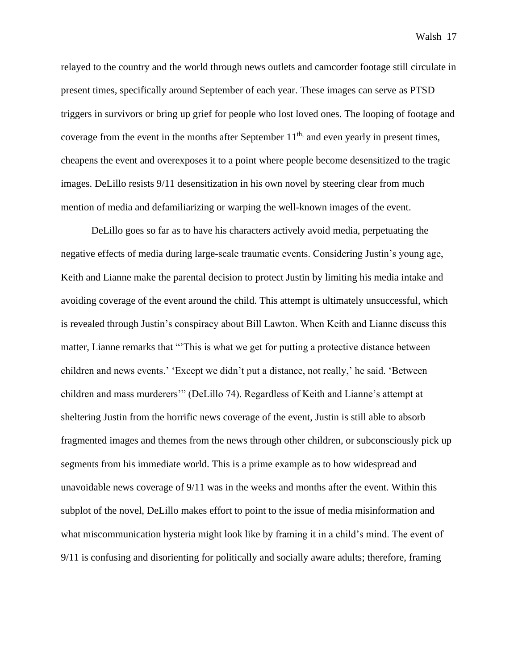relayed to the country and the world through news outlets and camcorder footage still circulate in present times, specifically around September of each year. These images can serve as PTSD triggers in survivors or bring up grief for people who lost loved ones. The looping of footage and coverage from the event in the months after September  $11<sup>th</sup>$ , and even yearly in present times, cheapens the event and overexposes it to a point where people become desensitized to the tragic images. DeLillo resists 9/11 desensitization in his own novel by steering clear from much mention of media and defamiliarizing or warping the well-known images of the event.

DeLillo goes so far as to have his characters actively avoid media, perpetuating the negative effects of media during large-scale traumatic events. Considering Justin's young age, Keith and Lianne make the parental decision to protect Justin by limiting his media intake and avoiding coverage of the event around the child. This attempt is ultimately unsuccessful, which is revealed through Justin's conspiracy about Bill Lawton. When Keith and Lianne discuss this matter, Lianne remarks that "'This is what we get for putting a protective distance between children and news events.' 'Except we didn't put a distance, not really,' he said. 'Between children and mass murderers'" (DeLillo 74). Regardless of Keith and Lianne's attempt at sheltering Justin from the horrific news coverage of the event, Justin is still able to absorb fragmented images and themes from the news through other children, or subconsciously pick up segments from his immediate world. This is a prime example as to how widespread and unavoidable news coverage of 9/11 was in the weeks and months after the event. Within this subplot of the novel, DeLillo makes effort to point to the issue of media misinformation and what miscommunication hysteria might look like by framing it in a child's mind. The event of 9/11 is confusing and disorienting for politically and socially aware adults; therefore, framing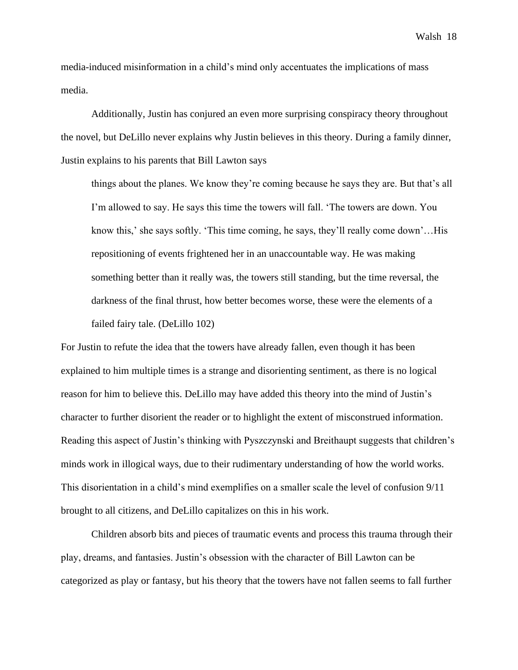media-induced misinformation in a child's mind only accentuates the implications of mass media.

Additionally, Justin has conjured an even more surprising conspiracy theory throughout the novel, but DeLillo never explains why Justin believes in this theory. During a family dinner, Justin explains to his parents that Bill Lawton says

things about the planes. We know they're coming because he says they are. But that's all I'm allowed to say. He says this time the towers will fall. 'The towers are down. You know this,' she says softly. 'This time coming, he says, they'll really come down'…His repositioning of events frightened her in an unaccountable way. He was making something better than it really was, the towers still standing, but the time reversal, the darkness of the final thrust, how better becomes worse, these were the elements of a failed fairy tale. (DeLillo 102)

For Justin to refute the idea that the towers have already fallen, even though it has been explained to him multiple times is a strange and disorienting sentiment, as there is no logical reason for him to believe this. DeLillo may have added this theory into the mind of Justin's character to further disorient the reader or to highlight the extent of misconstrued information. Reading this aspect of Justin's thinking with Pyszczynski and Breithaupt suggests that children's minds work in illogical ways, due to their rudimentary understanding of how the world works. This disorientation in a child's mind exemplifies on a smaller scale the level of confusion 9/11 brought to all citizens, and DeLillo capitalizes on this in his work.

Children absorb bits and pieces of traumatic events and process this trauma through their play, dreams, and fantasies. Justin's obsession with the character of Bill Lawton can be categorized as play or fantasy, but his theory that the towers have not fallen seems to fall further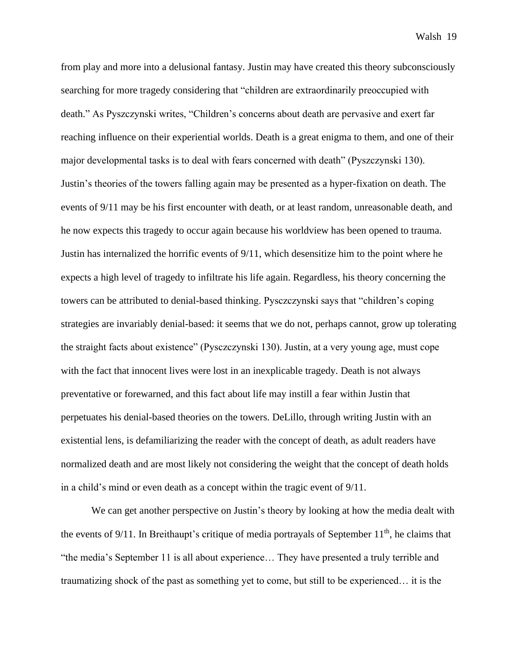from play and more into a delusional fantasy. Justin may have created this theory subconsciously searching for more tragedy considering that "children are extraordinarily preoccupied with death." As Pyszczynski writes, "Children's concerns about death are pervasive and exert far reaching influence on their experiential worlds. Death is a great enigma to them, and one of their major developmental tasks is to deal with fears concerned with death" (Pyszczynski 130). Justin's theories of the towers falling again may be presented as a hyper-fixation on death. The events of 9/11 may be his first encounter with death, or at least random, unreasonable death, and he now expects this tragedy to occur again because his worldview has been opened to trauma. Justin has internalized the horrific events of 9/11, which desensitize him to the point where he expects a high level of tragedy to infiltrate his life again. Regardless, his theory concerning the towers can be attributed to denial-based thinking. Pysczczynski says that "children's coping strategies are invariably denial-based: it seems that we do not, perhaps cannot, grow up tolerating the straight facts about existence" (Pysczczynski 130). Justin, at a very young age, must cope with the fact that innocent lives were lost in an inexplicable tragedy. Death is not always preventative or forewarned, and this fact about life may instill a fear within Justin that perpetuates his denial-based theories on the towers. DeLillo, through writing Justin with an existential lens, is defamiliarizing the reader with the concept of death, as adult readers have normalized death and are most likely not considering the weight that the concept of death holds in a child's mind or even death as a concept within the tragic event of 9/11.

We can get another perspective on Justin's theory by looking at how the media dealt with the events of  $9/11$ . In Breithaupt's critique of media portrayals of September  $11<sup>th</sup>$ , he claims that "the media's September 11 is all about experience… They have presented a truly terrible and traumatizing shock of the past as something yet to come, but still to be experienced… it is the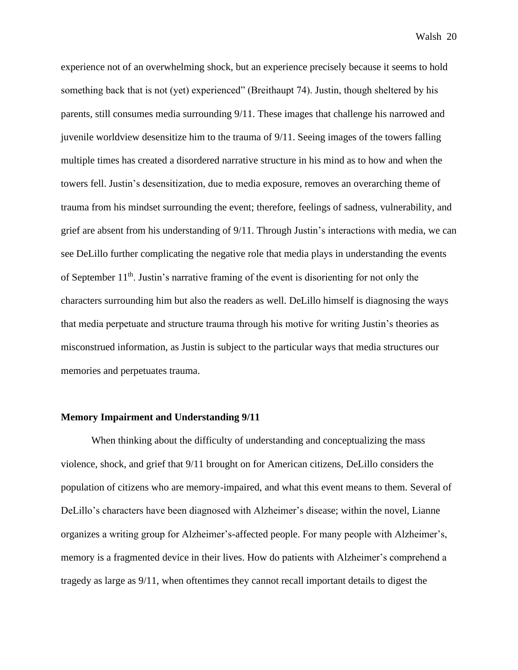experience not of an overwhelming shock, but an experience precisely because it seems to hold something back that is not (yet) experienced" (Breithaupt 74). Justin, though sheltered by his parents, still consumes media surrounding 9/11. These images that challenge his narrowed and juvenile worldview desensitize him to the trauma of 9/11. Seeing images of the towers falling multiple times has created a disordered narrative structure in his mind as to how and when the towers fell. Justin's desensitization, due to media exposure, removes an overarching theme of trauma from his mindset surrounding the event; therefore, feelings of sadness, vulnerability, and grief are absent from his understanding of 9/11. Through Justin's interactions with media, we can see DeLillo further complicating the negative role that media plays in understanding the events of September  $11<sup>th</sup>$ . Justin's narrative framing of the event is disorienting for not only the characters surrounding him but also the readers as well. DeLillo himself is diagnosing the ways that media perpetuate and structure trauma through his motive for writing Justin's theories as misconstrued information, as Justin is subject to the particular ways that media structures our memories and perpetuates trauma.

#### **Memory Impairment and Understanding 9/11**

When thinking about the difficulty of understanding and conceptualizing the mass violence, shock, and grief that 9/11 brought on for American citizens, DeLillo considers the population of citizens who are memory-impaired, and what this event means to them. Several of DeLillo's characters have been diagnosed with Alzheimer's disease; within the novel, Lianne organizes a writing group for Alzheimer's-affected people. For many people with Alzheimer's, memory is a fragmented device in their lives. How do patients with Alzheimer's comprehend a tragedy as large as 9/11, when oftentimes they cannot recall important details to digest the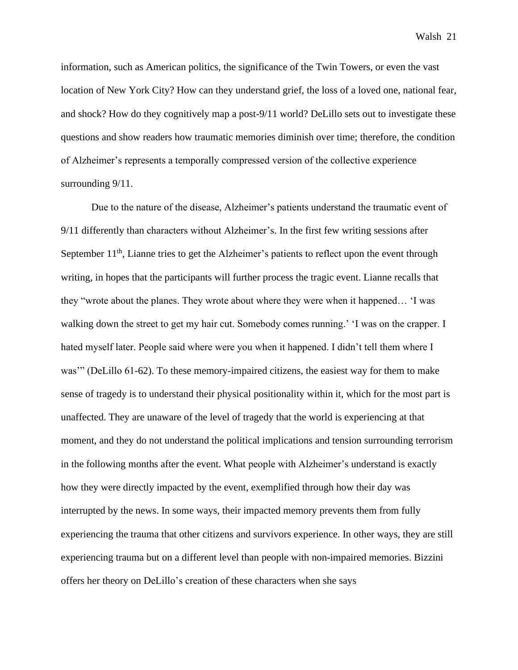information, such as American politics, the significance of the Twin Towers, or even the vast location of New York City? How can they understand grief, the loss of a loved one, national fear, and shock? How do they cognitively map a post-9/11 world? DeLillo sets out to investigate these questions and show readers how traumatic memories diminish over time; therefore, the condition of Alzheimer's represents a temporally compressed version of the collective experience surrounding  $9/11$ .

Due to the nature of the disease, Alzheimer's patients understand the traumatic event of 9/11 differently than characters without Alzheimer's. In the first few writing sessions after September  $11<sup>th</sup>$ , Lianne tries to get the Alzheimer's patients to reflect upon the event through writing, in hopes that the participants will further process the tragic event. Lianne recalls that they "wrote about the planes. They wrote about where they were when it happened… 'I was walking down the street to get my hair cut. Somebody comes running.' 'I was on the crapper. I hated myself later. People said where were you when it happened. I didn't tell them where I was'" (DeLillo 61-62). To these memory-impaired citizens, the easiest way for them to make sense of tragedy is to understand their physical positionality within it, which for the most part is unaffected. They are unaware of the level of tragedy that the world is experiencing at that moment, and they do not understand the political implications and tension surrounding terrorism in the following months after the event. What people with Alzheimer's understand is exactly how they were directly impacted by the event, exemplified through how their day was interrupted by the news. In some ways, their impacted memory prevents them from fully experiencing the trauma that other citizens and survivors experience. In other ways, they are still experiencing trauma but on a different level than people with non-impaired memories. Bizzini offers her theory on DeLillo's creation of these characters when she says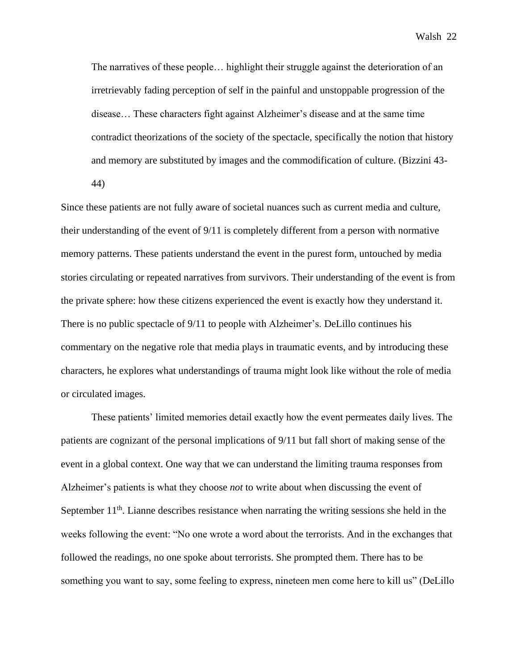The narratives of these people… highlight their struggle against the deterioration of an irretrievably fading perception of self in the painful and unstoppable progression of the disease… These characters fight against Alzheimer's disease and at the same time contradict theorizations of the society of the spectacle, specifically the notion that history and memory are substituted by images and the commodification of culture. (Bizzini 43- 44)

Since these patients are not fully aware of societal nuances such as current media and culture, their understanding of the event of 9/11 is completely different from a person with normative memory patterns. These patients understand the event in the purest form, untouched by media stories circulating or repeated narratives from survivors. Their understanding of the event is from the private sphere: how these citizens experienced the event is exactly how they understand it. There is no public spectacle of 9/11 to people with Alzheimer's. DeLillo continues his commentary on the negative role that media plays in traumatic events, and by introducing these characters, he explores what understandings of trauma might look like without the role of media or circulated images.

These patients' limited memories detail exactly how the event permeates daily lives. The patients are cognizant of the personal implications of 9/11 but fall short of making sense of the event in a global context. One way that we can understand the limiting trauma responses from Alzheimer's patients is what they choose *not* to write about when discussing the event of September  $11<sup>th</sup>$ . Lianne describes resistance when narrating the writing sessions she held in the weeks following the event: "No one wrote a word about the terrorists. And in the exchanges that followed the readings, no one spoke about terrorists. She prompted them. There has to be something you want to say, some feeling to express, nineteen men come here to kill us" (DeLillo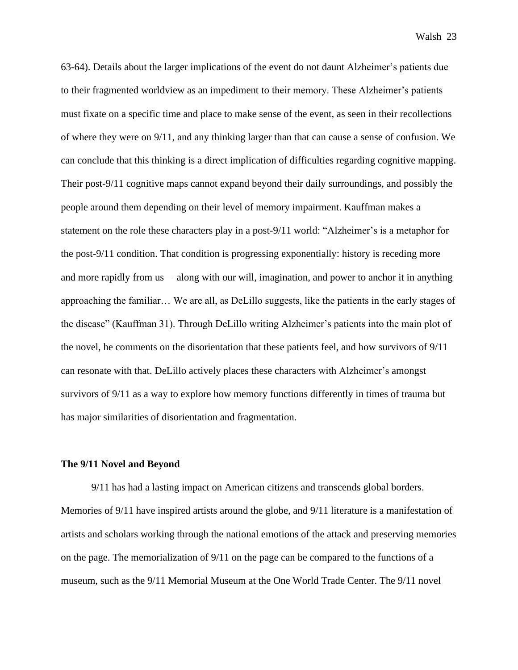63-64). Details about the larger implications of the event do not daunt Alzheimer's patients due to their fragmented worldview as an impediment to their memory. These Alzheimer's patients must fixate on a specific time and place to make sense of the event, as seen in their recollections of where they were on 9/11, and any thinking larger than that can cause a sense of confusion. We can conclude that this thinking is a direct implication of difficulties regarding cognitive mapping. Their post-9/11 cognitive maps cannot expand beyond their daily surroundings, and possibly the people around them depending on their level of memory impairment. Kauffman makes a statement on the role these characters play in a post-9/11 world: "Alzheimer's is a metaphor for the post-9/11 condition. That condition is progressing exponentially: history is receding more and more rapidly from us— along with our will, imagination, and power to anchor it in anything approaching the familiar… We are all, as DeLillo suggests, like the patients in the early stages of the disease" (Kauffman 31). Through DeLillo writing Alzheimer's patients into the main plot of the novel, he comments on the disorientation that these patients feel, and how survivors of 9/11 can resonate with that. DeLillo actively places these characters with Alzheimer's amongst survivors of 9/11 as a way to explore how memory functions differently in times of trauma but has major similarities of disorientation and fragmentation.

#### **The 9/11 Novel and Beyond**

9/11 has had a lasting impact on American citizens and transcends global borders. Memories of 9/11 have inspired artists around the globe, and 9/11 literature is a manifestation of artists and scholars working through the national emotions of the attack and preserving memories on the page. The memorialization of 9/11 on the page can be compared to the functions of a museum, such as the 9/11 Memorial Museum at the One World Trade Center. The 9/11 novel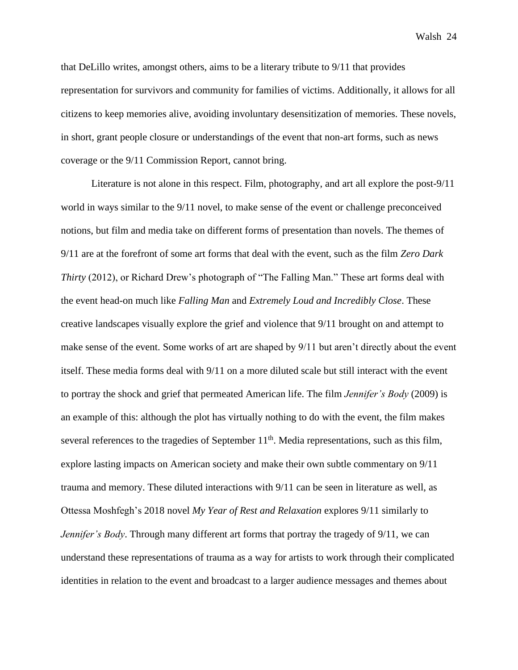that DeLillo writes, amongst others, aims to be a literary tribute to 9/11 that provides representation for survivors and community for families of victims. Additionally, it allows for all citizens to keep memories alive, avoiding involuntary desensitization of memories. These novels, in short, grant people closure or understandings of the event that non-art forms, such as news coverage or the 9/11 Commission Report, cannot bring.

Literature is not alone in this respect. Film, photography, and art all explore the post-9/11 world in ways similar to the 9/11 novel, to make sense of the event or challenge preconceived notions, but film and media take on different forms of presentation than novels. The themes of 9/11 are at the forefront of some art forms that deal with the event, such as the film *Zero Dark Thirty* (2012), or Richard Drew's photograph of "The Falling Man." These art forms deal with the event head-on much like *Falling Man* and *Extremely Loud and Incredibly Close*. These creative landscapes visually explore the grief and violence that 9/11 brought on and attempt to make sense of the event. Some works of art are shaped by 9/11 but aren't directly about the event itself. These media forms deal with 9/11 on a more diluted scale but still interact with the event to portray the shock and grief that permeated American life. The film *Jennifer's Body* (2009) is an example of this: although the plot has virtually nothing to do with the event, the film makes several references to the tragedies of September  $11<sup>th</sup>$ . Media representations, such as this film, explore lasting impacts on American society and make their own subtle commentary on 9/11 trauma and memory. These diluted interactions with 9/11 can be seen in literature as well, as Ottessa Moshfegh's 2018 novel *My Year of Rest and Relaxation* explores 9/11 similarly to *Jennifer's Body*. Through many different art forms that portray the tragedy of 9/11, we can understand these representations of trauma as a way for artists to work through their complicated identities in relation to the event and broadcast to a larger audience messages and themes about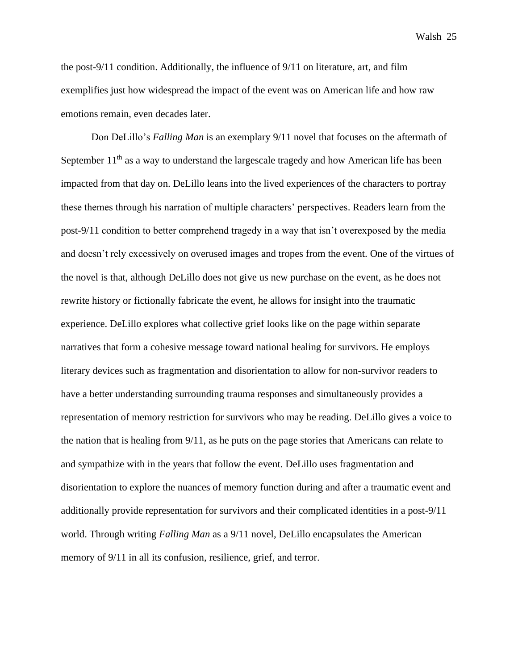the post-9/11 condition. Additionally, the influence of 9/11 on literature, art, and film exemplifies just how widespread the impact of the event was on American life and how raw emotions remain, even decades later.

Don DeLillo's *Falling Man* is an exemplary 9/11 novel that focuses on the aftermath of September  $11<sup>th</sup>$  as a way to understand the largescale tragedy and how American life has been impacted from that day on. DeLillo leans into the lived experiences of the characters to portray these themes through his narration of multiple characters' perspectives. Readers learn from the post-9/11 condition to better comprehend tragedy in a way that isn't overexposed by the media and doesn't rely excessively on overused images and tropes from the event. One of the virtues of the novel is that, although DeLillo does not give us new purchase on the event, as he does not rewrite history or fictionally fabricate the event, he allows for insight into the traumatic experience. DeLillo explores what collective grief looks like on the page within separate narratives that form a cohesive message toward national healing for survivors. He employs literary devices such as fragmentation and disorientation to allow for non-survivor readers to have a better understanding surrounding trauma responses and simultaneously provides a representation of memory restriction for survivors who may be reading. DeLillo gives a voice to the nation that is healing from 9/11, as he puts on the page stories that Americans can relate to and sympathize with in the years that follow the event. DeLillo uses fragmentation and disorientation to explore the nuances of memory function during and after a traumatic event and additionally provide representation for survivors and their complicated identities in a post-9/11 world. Through writing *Falling Man* as a 9/11 novel, DeLillo encapsulates the American memory of 9/11 in all its confusion, resilience, grief, and terror.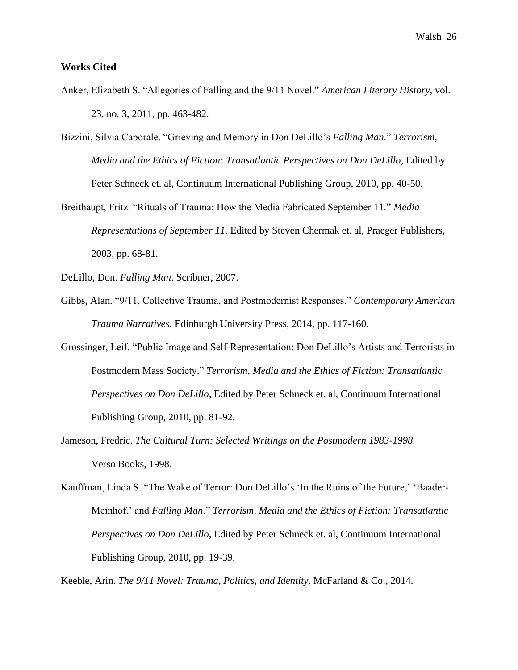# **Works Cited**

- Anker, Elizabeth S. "Allegories of Falling and the 9/11 Novel." *American Literary History*, vol. 23, no. 3, 2011, pp. 463-482.
- Bizzini, Silvia Caporale. "Grieving and Memory in Don DeLillo's *Falling Man*." *Terrorism, Media and the Ethics of Fiction: Transatlantic Perspectives on Don DeLillo*, Edited by Peter Schneck et. al, Continuum International Publishing Group, 2010, pp. 40-50.

Breithaupt, Fritz. "Rituals of Trauma: How the Media Fabricated September 11." *Media Representations of September 11*, Edited by Steven Chermak et. al, Praeger Publishers, 2003, pp. 68-81.

DeLillo, Don. *Falling Man*. Scribner, 2007.

- Gibbs, Alan. "9/11, Collective Trauma, and Postmodernist Responses." *Contemporary American Trauma Narratives*. Edinburgh University Press, 2014, pp. 117-160.
- Grossinger, Leif. "Public Image and Self-Representation: Don DeLillo's Artists and Terrorists in Postmodern Mass Society." *Terrorism, Media and the Ethics of Fiction: Transatlantic Perspectives on Don DeLillo*, Edited by Peter Schneck et. al, Continuum International Publishing Group, 2010, pp. 81-92.
- Jameson, Fredric. *The Cultural Turn: Selected Writings on the Postmodern 1983-1998.* Verso Books, 1998.
- Kauffman, Linda S. "The Wake of Terror: Don DeLillo's 'In the Ruins of the Future,' 'Baader-Meinhof,' and *Falling Man*." *Terrorism, Media and the Ethics of Fiction: Transatlantic Perspectives on Don DeLillo*, Edited by Peter Schneck et. al, Continuum International Publishing Group, 2010, pp. 19-39.

Keeble, Arin. *The 9/11 Novel: Trauma, Politics, and Identity*. McFarland & Co., 2014.